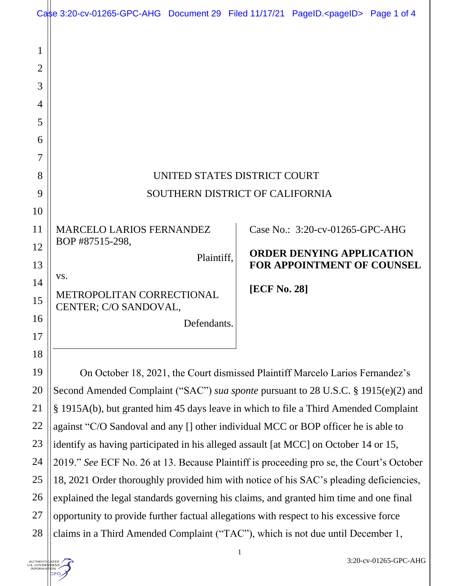|                                              | Case 3:20-cv-01265-GPC-AHG Document 29 Filed 11/17/21 PageID. <pageid> Page 1 of 4</pageid> |              |  |                                                                       |  |  |
|----------------------------------------------|---------------------------------------------------------------------------------------------|--------------|--|-----------------------------------------------------------------------|--|--|
| $\mathbf 1$<br>$\overline{2}$<br>3<br>4<br>5 |                                                                                             |              |  |                                                                       |  |  |
| 6                                            |                                                                                             |              |  |                                                                       |  |  |
| 7                                            |                                                                                             |              |  |                                                                       |  |  |
| 8                                            | UNITED STATES DISTRICT COURT                                                                |              |  |                                                                       |  |  |
| 9                                            | SOUTHERN DISTRICT OF CALIFORNIA                                                             |              |  |                                                                       |  |  |
| 10                                           |                                                                                             |              |  |                                                                       |  |  |
| 11                                           | <b>MARCELO LARIOS FERNANDEZ</b>                                                             |              |  | Case No.: 3:20-cv-01265-GPC-AHG                                       |  |  |
| 12                                           | BOP #87515-298,<br>Plaintiff,                                                               |              |  | <b>ORDER DENYING APPLICATION</b><br><b>FOR APPOINTMENT OF COUNSEL</b> |  |  |
| 13                                           | VS.                                                                                         |              |  |                                                                       |  |  |
| 14<br>15                                     | METROPOLITAN CORRECTIONAL<br>CENTER; C/O SANDOVAL,                                          | [ECF No. 28] |  |                                                                       |  |  |
| 16                                           |                                                                                             | Defendants.  |  |                                                                       |  |  |
| 17                                           |                                                                                             |              |  |                                                                       |  |  |
| 18                                           |                                                                                             |              |  |                                                                       |  |  |
| 19                                           | On October 18, 2021, the Court dismissed Plaintiff Marcelo Larios Fernandez's               |              |  |                                                                       |  |  |
| 20                                           | Second Amended Complaint ("SAC") sua sponte pursuant to 28 U.S.C. § 1915(e)(2) and          |              |  |                                                                       |  |  |
| 21                                           | § 1915A(b), but granted him 45 days leave in which to file a Third Amended Complaint        |              |  |                                                                       |  |  |
| 22                                           | against "C/O Sandoval and any [] other individual MCC or BOP officer he is able to          |              |  |                                                                       |  |  |
| 23                                           | identify as having participated in his alleged assault [at MCC] on October 14 or 15,        |              |  |                                                                       |  |  |
| 24                                           | 2019." See ECF No. 26 at 13. Because Plaintiff is proceeding pro se, the Court's October    |              |  |                                                                       |  |  |
| 25                                           | 18, 2021 Order thoroughly provided him with notice of his SAC's pleading deficiencies,      |              |  |                                                                       |  |  |
| 26                                           | explained the legal standards governing his claims, and granted him time and one final      |              |  |                                                                       |  |  |
| 27                                           | opportunity to provide further factual allegations with respect to his excessive force      |              |  |                                                                       |  |  |
| 28                                           | claims in a Third Amended Complaint ("TAC"), which is not due until December 1,             |              |  |                                                                       |  |  |

1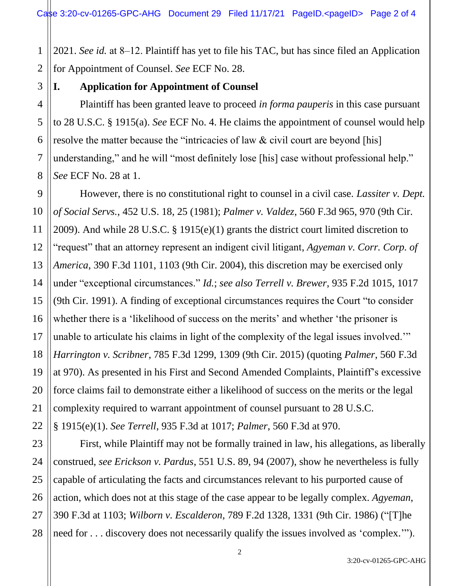1 2 2021. *See id.* at 8–12. Plaintiff has yet to file his TAC, but has since filed an Application for Appointment of Counsel. *See* ECF No. 28.

3

4

5

6

7

8

9

10

11

12

14

15

17

18

19

20

21

22

23

25

27

## **I. Application for Appointment of Counsel**

Plaintiff has been granted leave to proceed *in forma pauperis* in this case pursuant to 28 U.S.C. § 1915(a). *See* ECF No. 4. He claims the appointment of counsel would help resolve the matter because the "intricacies of law & civil court are beyond [his] understanding," and he will "most definitely lose [his] case without professional help." *See* ECF No. 28 at 1.

13 16 However, there is no constitutional right to counsel in a civil case. *Lassiter v. Dept. of Social Servs.*, 452 U.S. 18, 25 (1981); *Palmer v. Valdez*, 560 F.3d 965, 970 (9th Cir. 2009). And while 28 U.S.C. § 1915(e)(1) grants the district court limited discretion to "request" that an attorney represent an indigent civil litigant, *Agyeman v. Corr. Corp. of America*, 390 F.3d 1101, 1103 (9th Cir. 2004), this discretion may be exercised only under "exceptional circumstances." *Id.*; *see also Terrell v. Brewer*, 935 F.2d 1015, 1017 (9th Cir. 1991). A finding of exceptional circumstances requires the Court "to consider whether there is a 'likelihood of success on the merits' and whether 'the prisoner is unable to articulate his claims in light of the complexity of the legal issues involved.'" *Harrington v. Scribner*, 785 F.3d 1299, 1309 (9th Cir. 2015) (quoting *Palmer*, 560 F.3d at 970). As presented in his First and Second Amended Complaints, Plaintiff's excessive force claims fail to demonstrate either a likelihood of success on the merits or the legal complexity required to warrant appointment of counsel pursuant to 28 U.S.C.

§ 1915(e)(1). *See Terrell*, 935 F.3d at 1017; *Palmer*, 560 F.3d at 970.

24 26 28 First, while Plaintiff may not be formally trained in law, his allegations, as liberally construed, *see Erickson v. Pardus*, 551 U.S. 89, 94 (2007), show he nevertheless is fully capable of articulating the facts and circumstances relevant to his purported cause of action, which does not at this stage of the case appear to be legally complex. *Agyeman*, 390 F.3d at 1103; *Wilborn v. Escalderon*, 789 F.2d 1328, 1331 (9th Cir. 1986) ("[T]he need for . . . discovery does not necessarily qualify the issues involved as 'complex.'").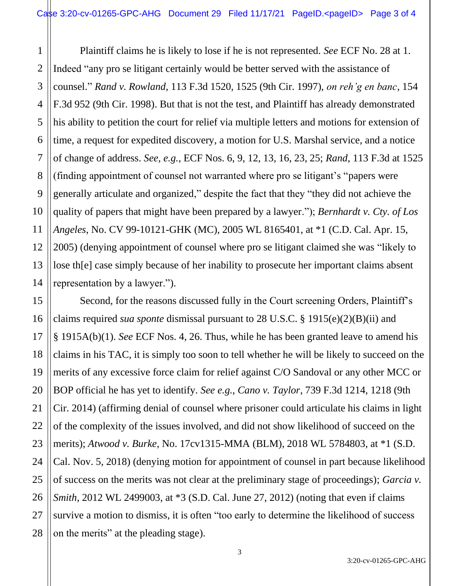1 2 3 4 5 6 7 8 9 10 11 12 13 14 Plaintiff claims he is likely to lose if he is not represented. *See* ECF No. 28 at 1. Indeed "any pro se litigant certainly would be better served with the assistance of counsel." *Rand v. Rowland*, 113 F.3d 1520, 1525 (9th Cir. 1997), *on reh'g en banc*, 154 F.3d 952 (9th Cir. 1998). But that is not the test, and Plaintiff has already demonstrated his ability to petition the court for relief via multiple letters and motions for extension of time, a request for expedited discovery, a motion for U.S. Marshal service, and a notice of change of address. *See, e.g.*, ECF Nos. 6, 9, 12, 13, 16, 23, 25; *Rand*, 113 F.3d at 1525 (finding appointment of counsel not warranted where pro se litigant's "papers were generally articulate and organized," despite the fact that they "they did not achieve the quality of papers that might have been prepared by a lawyer."); *Bernhardt v. Cty. of Los Angeles*, No. CV 99-10121-GHK (MC), 2005 WL 8165401, at \*1 (C.D. Cal. Apr. 15, 2005) (denying appointment of counsel where pro se litigant claimed she was "likely to lose th[e] case simply because of her inability to prosecute her important claims absent representation by a lawyer.").

15 16 17 18 19 20 22 23 24 25 26 27 28 Second, for the reasons discussed fully in the Court screening Orders, Plaintiff's claims required *sua sponte* dismissal pursuant to 28 U.S.C. § 1915(e)(2)(B)(ii) and § 1915A(b)(1). *See* ECF Nos. 4, 26. Thus, while he has been granted leave to amend his claims in his TAC, it is simply too soon to tell whether he will be likely to succeed on the merits of any excessive force claim for relief against C/O Sandoval or any other MCC or BOP official he has yet to identify. *See e.g., Cano v. Taylor*, 739 F.3d 1214, 1218 (9th Cir. 2014) (affirming denial of counsel where prisoner could articulate his claims in light of the complexity of the issues involved, and did not show likelihood of succeed on the merits); *Atwood v. Burke*, No. 17cv1315-MMA (BLM), 2018 WL 5784803, at \*1 (S.D. Cal. Nov. 5, 2018) (denying motion for appointment of counsel in part because likelihood of success on the merits was not clear at the preliminary stage of proceedings); *Garcia v. Smith*, 2012 WL 2499003, at \*3 (S.D. Cal. June 27, 2012) (noting that even if claims survive a motion to dismiss, it is often "too early to determine the likelihood of success on the merits" at the pleading stage).

21